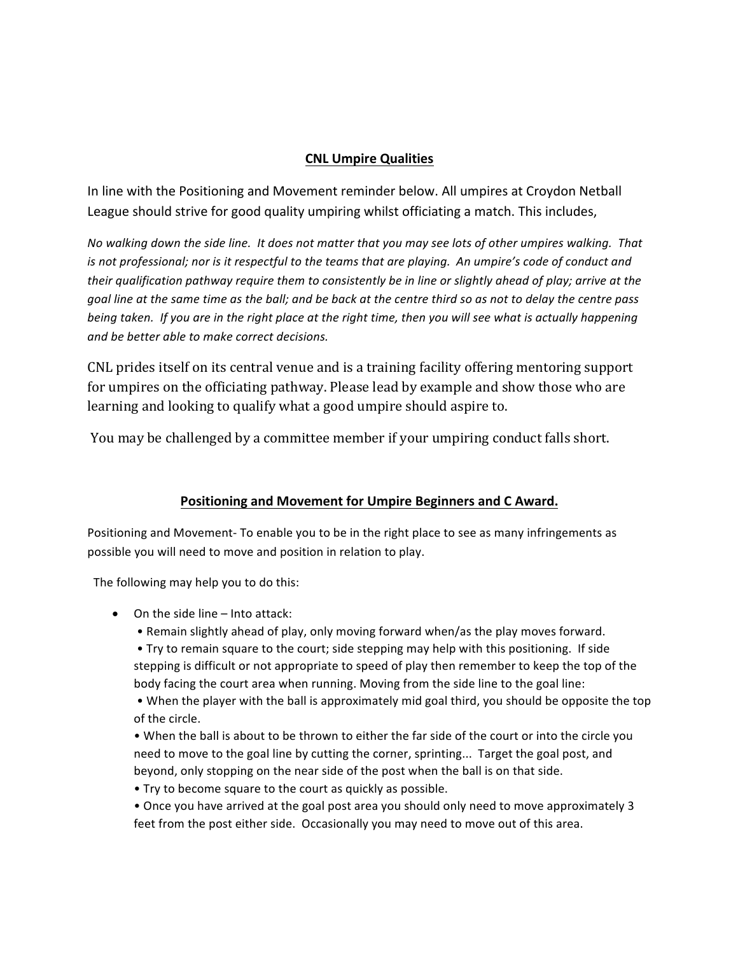## **CNL Umpire Qualities**

In line with the Positioning and Movement reminder below. All umpires at Croydon Netball League should strive for good quality umpiring whilst officiating a match. This includes,

*No* walking down the side line. It does not matter that you may see lots of other umpires walking. That *is* not professional; nor is it respectful to the teams that are playing. An umpire's code of conduct and *their qualification pathway require them to consistently be in line or slightly ahead of play; arrive at the goal line at the same time as the ball; and be back at the centre third so as not to delay the centre pass being* taken. If you are in the right place at the right time, then you will see what is actually happening and be better able to make correct decisions.

CNL prides itself on its central venue and is a training facility offering mentoring support for umpires on the officiating pathway. Please lead by example and show those who are learning and looking to qualify what a good umpire should aspire to.

You may be challenged by a committee member if your umpiring conduct falls short.

## Positioning and Movement for Umpire Beginners and C Award.

Positioning and Movement- To enable you to be in the right place to see as many infringements as possible you will need to move and position in relation to play.

The following may help you to do this:

- $\bullet$  On the side line Into attack:
	- Remain slightly ahead of play, only moving forward when/as the play moves forward.
	- Try to remain square to the court; side stepping may help with this positioning. If side stepping is difficult or not appropriate to speed of play then remember to keep the top of the body facing the court area when running. Moving from the side line to the goal line:

• When the player with the ball is approximately mid goal third, you should be opposite the top of the circle.

• When the ball is about to be thrown to either the far side of the court or into the circle you need to move to the goal line by cutting the corner, sprinting... Target the goal post, and beyond, only stopping on the near side of the post when the ball is on that side.

- Try to become square to the court as quickly as possible.
- Once you have arrived at the goal post area you should only need to move approximately 3 feet from the post either side. Occasionally you may need to move out of this area.